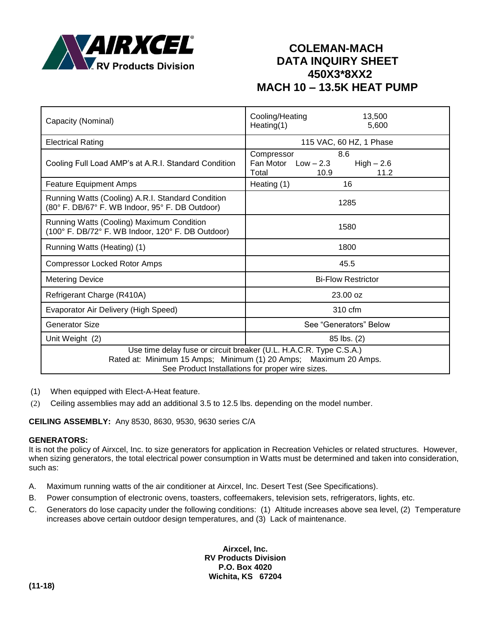

# **COLEMAN-MACH DATA INQUIRY SHEET 450X3\*8XX2 MACH 10 – 13.5K HEAT PUMP**

| Capacity (Nominal)                                                                                                                                                                         | Cooling/Heating<br>13,500<br>Heating(1)<br>5,600                                    |  |
|--------------------------------------------------------------------------------------------------------------------------------------------------------------------------------------------|-------------------------------------------------------------------------------------|--|
| <b>Electrical Rating</b>                                                                                                                                                                   | 115 VAC, 60 HZ, 1 Phase                                                             |  |
| Cooling Full Load AMP's at A.R.I. Standard Condition                                                                                                                                       | 8.6<br>Compressor<br>Fan Motor $Low - 2.3$<br>$High - 2.6$<br>Total<br>11.2<br>10.9 |  |
| <b>Feature Equipment Amps</b>                                                                                                                                                              | Heating (1)<br>16                                                                   |  |
| Running Watts (Cooling) A.R.I. Standard Condition<br>(80° F. DB/67° F. WB Indoor, 95° F. DB Outdoor)                                                                                       | 1285                                                                                |  |
| Running Watts (Cooling) Maximum Condition<br>(100° F. DB/72° F. WB Indoor, 120° F. DB Outdoor)                                                                                             | 1580                                                                                |  |
| Running Watts (Heating) (1)                                                                                                                                                                | 1800                                                                                |  |
| <b>Compressor Locked Rotor Amps</b>                                                                                                                                                        | 45.5                                                                                |  |
| <b>Metering Device</b>                                                                                                                                                                     | <b>Bi-Flow Restrictor</b>                                                           |  |
| Refrigerant Charge (R410A)                                                                                                                                                                 | 23.00 oz                                                                            |  |
| Evaporator Air Delivery (High Speed)                                                                                                                                                       | 310 cfm                                                                             |  |
| <b>Generator Size</b>                                                                                                                                                                      | See "Generators" Below                                                              |  |
| Unit Weight (2)                                                                                                                                                                            | 85 lbs. (2)                                                                         |  |
| Use time delay fuse or circuit breaker (U.L. H.A.C.R. Type C.S.A.)<br>Rated at: Minimum 15 Amps; Minimum (1) 20 Amps; Maximum 20 Amps.<br>See Product Installations for proper wire sizes. |                                                                                     |  |

- (1) When equipped with Elect-A-Heat feature.
- (2) Ceiling assemblies may add an additional 3.5 to 12.5 lbs. depending on the model number.

**CEILING ASSEMBLY:** Any 8530, 8630, 9530, 9630 series C/A

#### **GENERATORS:**

It is not the policy of Airxcel, Inc. to size generators for application in Recreation Vehicles or related structures. However, when sizing generators, the total electrical power consumption in Watts must be determined and taken into consideration, such as:

- A. Maximum running watts of the air conditioner at Airxcel, Inc. Desert Test (See Specifications).
- B. Power consumption of electronic ovens, toasters, coffeemakers, television sets, refrigerators, lights, etc.
- C. Generators do lose capacity under the following conditions: (1) Altitude increases above sea level, (2) Temperature increases above certain outdoor design temperatures, and (3) Lack of maintenance.

**Airxcel, Inc. RV Products Division P.O. Box 4020 Wichita, KS 67204**